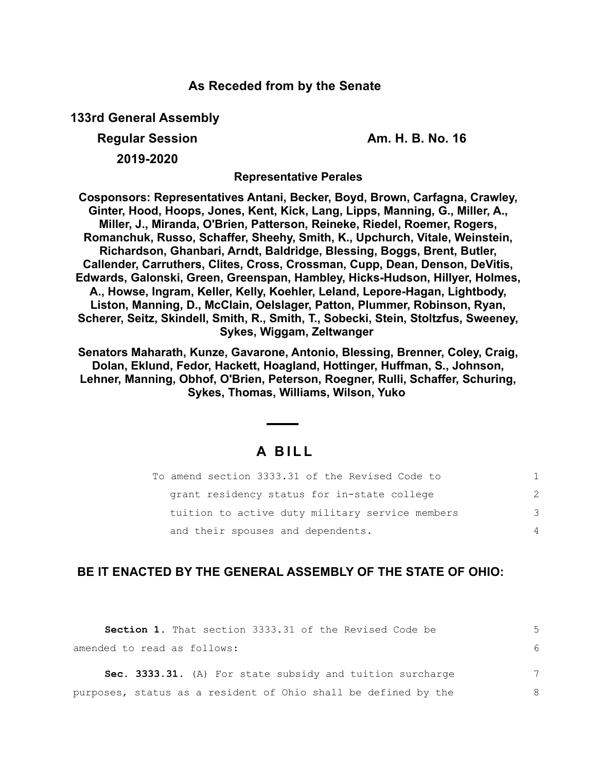## **As Receded from by the Senate**

**133rd General Assembly**

**Regular Session Am. H. B. No. 16**

**2019-2020**

**Representative Perales**

**Cosponsors: Representatives Antani, Becker, Boyd, Brown, Carfagna, Crawley, Ginter, Hood, Hoops, Jones, Kent, Kick, Lang, Lipps, Manning, G., Miller, A., Miller, J., Miranda, O'Brien, Patterson, Reineke, Riedel, Roemer, Rogers, Romanchuk, Russo, Schaffer, Sheehy, Smith, K., Upchurch, Vitale, Weinstein, Richardson, Ghanbari, Arndt, Baldridge, Blessing, Boggs, Brent, Butler, Callender, Carruthers, Clites, Cross, Crossman, Cupp, Dean, Denson, DeVitis, Edwards, Galonski, Green, Greenspan, Hambley, Hicks-Hudson, Hillyer, Holmes, A., Howse, Ingram, Keller, Kelly, Koehler, Leland, Lepore-Hagan, Lightbody, Liston, Manning, D., McClain, Oelslager, Patton, Plummer, Robinson, Ryan, Scherer, Seitz, Skindell, Smith, R., Smith, T., Sobecki, Stein, Stoltzfus, Sweeney, Sykes, Wiggam, Zeltwanger** 

**Senators Maharath, Kunze, Gavarone, Antonio, Blessing, Brenner, Coley, Craig, Dolan, Eklund, Fedor, Hackett, Hoagland, Hottinger, Huffman, S., Johnson, Lehner, Manning, Obhof, O'Brien, Peterson, Roegner, Rulli, Schaffer, Schuring, Sykes, Thomas, Williams, Wilson, Yuko** 

# **A B I L L**

| To amend section 3333.31 of the Revised Code to |   |
|-------------------------------------------------|---|
| grant residency status for in-state college     | 2 |
| tuition to active duty military service members | 3 |
| and their spouses and dependents.               | 4 |

## **BE IT ENACTED BY THE GENERAL ASSEMBLY OF THE STATE OF OHIO:**

| <b>Section 1.</b> That section 3333.31 of the Revised Code be  |   |
|----------------------------------------------------------------|---|
| amended to read as follows:                                    |   |
| Sec. 3333.31. (A) For state subsidy and tuition surcharge      | 7 |
| purposes, status as a resident of Ohio shall be defined by the | 8 |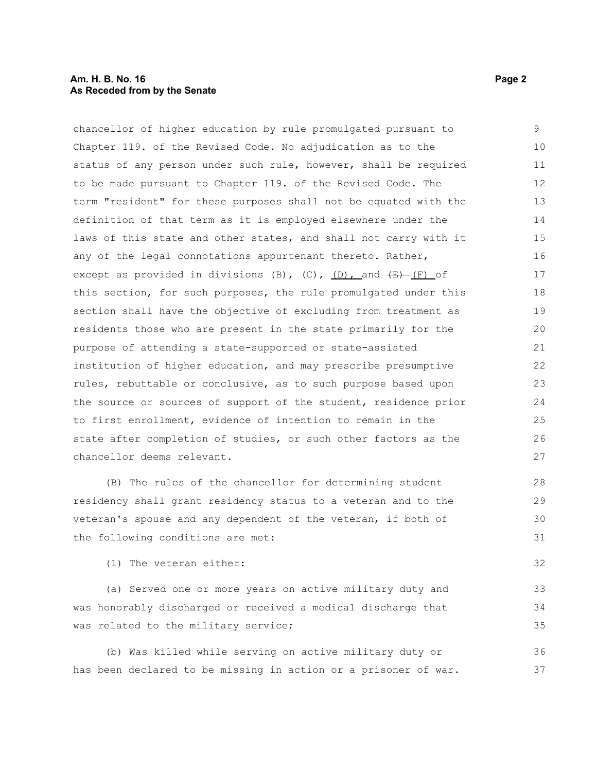chancellor of higher education by rule promulgated pursuant to Chapter 119. of the Revised Code. No adjudication as to the status of any person under such rule, however, shall be required to be made pursuant to Chapter 119. of the Revised Code. The term "resident" for these purposes shall not be equated with the definition of that term as it is employed elsewhere under the laws of this state and other states, and shall not carry with it any of the legal connotations appurtenant thereto. Rather, except as provided in divisions (B),  $(C)$ ,  $(D)$ , and  $(E)$  (F) of this section, for such purposes, the rule promulgated under this section shall have the objective of excluding from treatment as residents those who are present in the state primarily for the purpose of attending a state-supported or state-assisted institution of higher education, and may prescribe presumptive rules, rebuttable or conclusive, as to such purpose based upon the source or sources of support of the student, residence prior to first enrollment, evidence of intention to remain in the state after completion of studies, or such other factors as the chancellor deems relevant. 9 10 11 12 13 14 15 16 17 18 19 20 21 22 23 24 25 26 27

(B) The rules of the chancellor for determining student residency shall grant residency status to a veteran and to the veteran's spouse and any dependent of the veteran, if both of the following conditions are met:

(1) The veteran either:

(a) Served one or more years on active military duty and was honorably discharged or received a medical discharge that was related to the military service; 33 34 35

(b) Was killed while serving on active military duty or has been declared to be missing in action or a prisoner of war. 36 37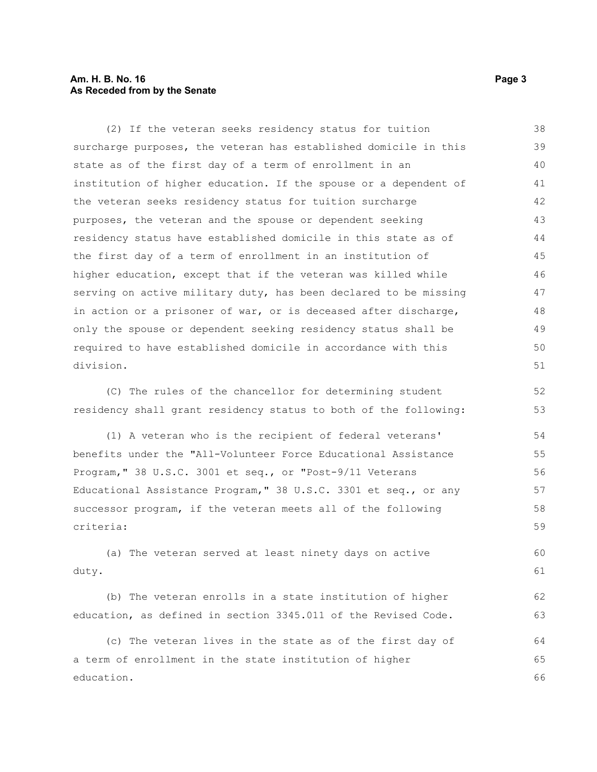### **Am. H. B. No. 16 Page 3 As Receded from by the Senate**

(2) If the veteran seeks residency status for tuition surcharge purposes, the veteran has established domicile in this state as of the first day of a term of enrollment in an institution of higher education. If the spouse or a dependent of the veteran seeks residency status for tuition surcharge purposes, the veteran and the spouse or dependent seeking residency status have established domicile in this state as of the first day of a term of enrollment in an institution of higher education, except that if the veteran was killed while serving on active military duty, has been declared to be missing in action or a prisoner of war, or is deceased after discharge, only the spouse or dependent seeking residency status shall be required to have established domicile in accordance with this division. 38 39 40 41 42 43 44 45 46 47 48 49 50 51

(C) The rules of the chancellor for determining student residency shall grant residency status to both of the following:

(1) A veteran who is the recipient of federal veterans' benefits under the "All-Volunteer Force Educational Assistance Program," 38 U.S.C. 3001 et seq., or "Post-9/11 Veterans Educational Assistance Program," 38 U.S.C. 3301 et seq., or any successor program, if the veteran meets all of the following criteria: 54 55 56 57 58 59

(a) The veteran served at least ninety days on active duty. 60 61

(b) The veteran enrolls in a state institution of higher education, as defined in section 3345.011 of the Revised Code.

(c) The veteran lives in the state as of the first day of a term of enrollment in the state institution of higher education. 64 65 66

52 53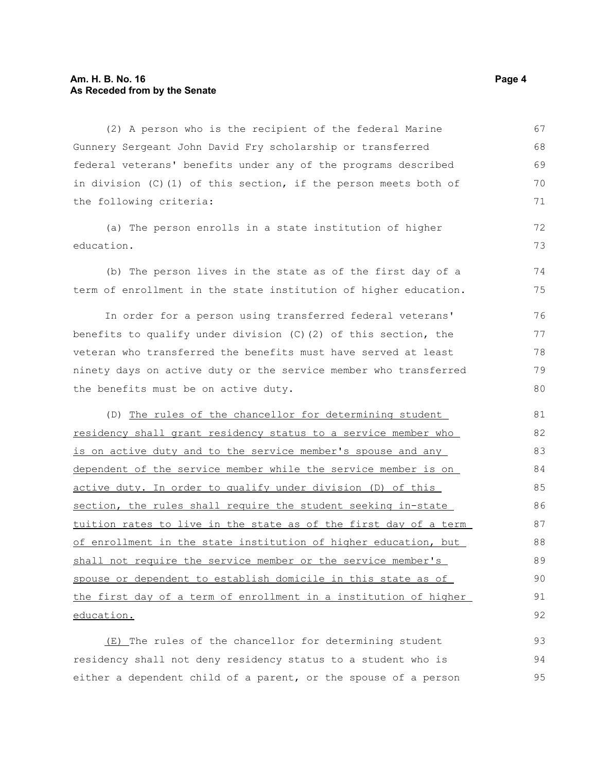(2) A person who is the recipient of the federal Marine Gunnery Sergeant John David Fry scholarship or transferred federal veterans' benefits under any of the programs described in division (C)(1) of this section, if the person meets both of the following criteria: 67 68 69 70 71

(a) The person enrolls in a state institution of higher education.

(b) The person lives in the state as of the first day of a term of enrollment in the state institution of higher education. 74 75

In order for a person using transferred federal veterans' benefits to qualify under division  $(C)$  (2) of this section, the veteran who transferred the benefits must have served at least ninety days on active duty or the service member who transferred the benefits must be on active duty. 76 77 78 79 80

(D) The rules of the chancellor for determining student residency shall grant residency status to a service member who is on active duty and to the service member's spouse and any dependent of the service member while the service member is on active duty. In order to qualify under division (D) of this section, the rules shall require the student seeking in-state tuition rates to live in the state as of the first day of a term of enrollment in the state institution of higher education, but shall not require the service member or the service member's spouse or dependent to establish domicile in this state as of the first day of a term of enrollment in a institution of higher education. 81 82 83 84 85 86 87 88 89 90 91 92

(E) The rules of the chancellor for determining student residency shall not deny residency status to a student who is either a dependent child of a parent, or the spouse of a person 93 94 95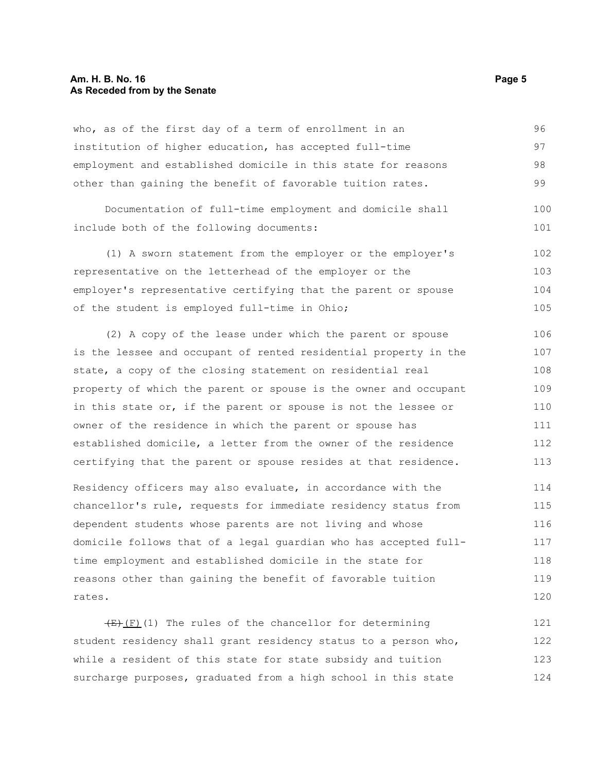### **Am. H. B. No. 16 Page 5 As Receded from by the Senate**

who, as of the first day of a term of enrollment in an institution of higher education, has accepted full-time employment and established domicile in this state for reasons other than gaining the benefit of favorable tuition rates. Documentation of full-time employment and domicile shall include both of the following documents: (1) A sworn statement from the employer or the employer's representative on the letterhead of the employer or the employer's representative certifying that the parent or spouse of the student is employed full-time in Ohio; (2) A copy of the lease under which the parent or spouse is the lessee and occupant of rented residential property in the state, a copy of the closing statement on residential real property of which the parent or spouse is the owner and occupant in this state or, if the parent or spouse is not the lessee or owner of the residence in which the parent or spouse has established domicile, a letter from the owner of the residence certifying that the parent or spouse resides at that residence. Residency officers may also evaluate, in accordance with the chancellor's rule, requests for immediate residency status from dependent students whose parents are not living and whose domicile follows that of a legal guardian who has accepted fulltime employment and established domicile in the state for 96 97 98 99 100 101 102 103 104 105 106 107 108 109 110 111 112 113 114 115 116 117 118

reasons other than gaining the benefit of favorable tuition rates. 119 120

 $(E)$ (F)(1) The rules of the chancellor for determining student residency shall grant residency status to a person who, while a resident of this state for state subsidy and tuition surcharge purposes, graduated from a high school in this state 121 122 123 124